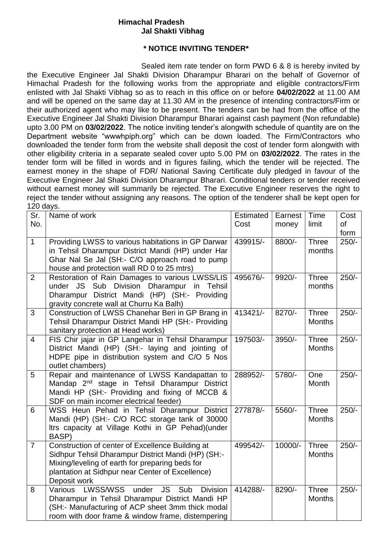## **Himachal Pradesh Jal Shakti Vibhag**

## **\* NOTICE INVITING TENDER\***

Sealed item rate tender on form PWD 6 & 8 is hereby invited by the Executive Engineer Jal Shakti Division Dharampur Bharari on the behalf of Governor of Himachal Pradesh for the following works from the appropriate and eligible contractors/Firm enlisted with Jal Shakti Vibhag so as to reach in this office on or before **04/02/2022** at 11.00 AM and will be opened on the same day at 11.30 AM in the presence of intending contractors/Firm or their authorized agent who may like to be present. The tenders can be had from the office of the Executive Engineer Jal Shakti Division Dharampur Bharari against cash payment (Non refundable) upto 3.00 PM on **03/02/2022**. The notice inviting tender's alongwith schedule of quantity are on the Department website "wwwhpiph.org" which can be down loaded. The Firm/Contractors who downloaded the tender form from the website shall deposit the cost of tender form alongwith with other eligibility criteria in a separate sealed cover upto 5.00 PM on **03/02/2022**. The rates in the tender form will be filled in words and in figures failing, which the tender will be rejected. The earnest money in the shape of FDR/ National Saving Certificate duly pledged in favour of the Executive Engineer Jal Shakti Division Dharampur Bharari. Conditional tenders or tender received without earnest money will summarily be rejected. The Executive Engineer reserves the right to reject the tender without assigning any reasons. The option of the tenderer shall be kept open for  $120$  days.

| . 20 uu yu .<br>Sr.<br>No. | Name of work                                                                                                                                                                                                                           | Estimated<br>Cost | Earnest<br>money | Time<br>limit                 | Cost<br>of<br>form |
|----------------------------|----------------------------------------------------------------------------------------------------------------------------------------------------------------------------------------------------------------------------------------|-------------------|------------------|-------------------------------|--------------------|
| $\mathbf{1}$               | Providing LWSS to various habitations in GP Darwar<br>in Tehsil Dharampur District Mandi (HP) under Har<br>Ghar Nal Se Jal (SH:- C/O approach road to pump<br>house and protection wall RD 0 to 25 mtrs)                               | 439915/-          | 8800/-           | <b>Three</b><br>months        | $250/-$            |
| $\overline{2}$             | Restoration of Rain Damages to various LWSS/LIS<br>under JS Sub Division Dharampur in Tehsil<br>Dharampur District Mandi (HP) (SH:- Providing<br>gravity concrete wall at Churru Ka Balh)                                              | 495676/-          | 9920/-           | <b>Three</b><br>months        | $250/-$            |
| 3                          | Construction of LWSS Chanehar Beri in GP Brang in<br>Tehsil Dharampur District Mandi HP (SH:- Providing<br>sanitary protection at Head works)                                                                                          | 413421/-          | 8270/-           | <b>Three</b><br><b>Months</b> | $250/-$            |
| $\overline{4}$             | FIS Chir jajar in GP Langehar in Tehsil Dharampur<br>District Mandi (HP) (SH:- laying and jointing of<br>HDPE pipe in distribution system and C/O 5 Nos<br>outlet chambers)                                                            | 197503/-          | 3950/-           | <b>Three</b><br><b>Months</b> | $250/-$            |
| 5                          | Repair and maintenance of LWSS Kandapattan to<br>Mandap 2 <sup>nd</sup> stage in Tehsil Dharampur District<br>Mandi HP (SH:- Providing and fixing of MCCB &<br>SDF on main incomer electrical feeder)                                  | 288952/-          | 5780/-           | One<br>Month                  | $250/-$            |
| 6                          | WSS Heun Pehad in Tehsil Dharampur District<br>Mandi (HP) (SH:- C/O RCC storage tank of 30000<br>Itrs capacity at Village Kothi in GP Pehad)(under<br>BASP)                                                                            | 277878/-          | 5560/-           | <b>Three</b><br><b>Months</b> | $250/-$            |
| $\overline{7}$             | Construction of center of Excellence Building at<br>Sidhpur Tehsil Dharampur District Mandi (HP) (SH:-<br>Mixing/leveling of earth for preparing beds for<br>plantation at Sidhpur near Center of Excellence)<br>Deposit work          | 499542/-          | 10000/-          | <b>Three</b><br><b>Months</b> | $250/-$            |
| 8                          | <b>LWSS/WSS</b><br>Various<br><b>JS</b><br>under<br>Sub<br><b>Division</b><br>Dharampur in Tehsil Dharampur District Mandi HP<br>(SH:- Manufacturing of ACP sheet 3mm thick modal<br>room with door frame & window frame, distempering | 414288/-          | 8290/-           | <b>Three</b><br><b>Months</b> | $250/-$            |